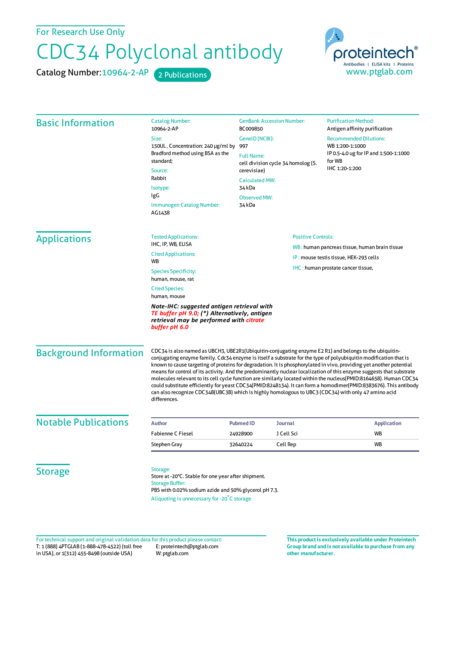For Research Use Only

## CDC34 Polyclonal antibody

Catalog Number: 10964-2-AP 2 Publications



| <b>Basic Information</b>                                                                                                                               | <b>Catalog Number:</b><br>10964-2-AP                                                                                                                                                                                                                                                                                                                                                                                                                                                                                                                                                                                                                                                                                                                                                                                                      | <b>GenBank Accession Number:</b><br>BC009850<br>GenelD (NCBI):                                                                   |                | <b>Purification Method:</b><br>Antigen affinity purification<br><b>Recommended Dilutions:</b> |                     |                                  |                           |                                        |                                               |
|--------------------------------------------------------------------------------------------------------------------------------------------------------|-------------------------------------------------------------------------------------------------------------------------------------------------------------------------------------------------------------------------------------------------------------------------------------------------------------------------------------------------------------------------------------------------------------------------------------------------------------------------------------------------------------------------------------------------------------------------------------------------------------------------------------------------------------------------------------------------------------------------------------------------------------------------------------------------------------------------------------------|----------------------------------------------------------------------------------------------------------------------------------|----------------|-----------------------------------------------------------------------------------------------|---------------------|----------------------------------|---------------------------|----------------------------------------|-----------------------------------------------|
|                                                                                                                                                        | Size:                                                                                                                                                                                                                                                                                                                                                                                                                                                                                                                                                                                                                                                                                                                                                                                                                                     |                                                                                                                                  |                |                                                                                               |                     |                                  |                           |                                        |                                               |
|                                                                                                                                                        | 150UL, Concentration: 240 µg/ml by                                                                                                                                                                                                                                                                                                                                                                                                                                                                                                                                                                                                                                                                                                                                                                                                        | 997                                                                                                                              |                | WB 1:200-1:1000                                                                               |                     |                                  |                           |                                        |                                               |
|                                                                                                                                                        | Bradford method using BSA as the<br>standard;<br>Source:<br>Rabbit<br>Isotype:<br>IgG<br>Immunogen Catalog Number:<br>AG1438                                                                                                                                                                                                                                                                                                                                                                                                                                                                                                                                                                                                                                                                                                              | <b>Full Name:</b><br>cell division cycle 34 homolog (S.<br>cerevisiae)<br><b>Calculated MW:</b><br>34 kDa<br><b>Observed MW:</b> |                | IP 0.5-4.0 ug for IP and 1:500-1:1000<br>for WB<br>IHC 1:20-1:200                             |                     |                                  |                           |                                        |                                               |
|                                                                                                                                                        |                                                                                                                                                                                                                                                                                                                                                                                                                                                                                                                                                                                                                                                                                                                                                                                                                                           |                                                                                                                                  |                |                                                                                               | 34 kDa              |                                  |                           |                                        |                                               |
|                                                                                                                                                        |                                                                                                                                                                                                                                                                                                                                                                                                                                                                                                                                                                                                                                                                                                                                                                                                                                           |                                                                                                                                  |                |                                                                                               | <b>Applications</b> | <b>Tested Applications:</b>      | <b>Positive Controls:</b> |                                        |                                               |
|                                                                                                                                                        |                                                                                                                                                                                                                                                                                                                                                                                                                                                                                                                                                                                                                                                                                                                                                                                                                                           |                                                                                                                                  |                |                                                                                               |                     | IHC, IP, WB, ELISA               |                           |                                        | WB: human pancreas tissue, human brain tissue |
|                                                                                                                                                        |                                                                                                                                                                                                                                                                                                                                                                                                                                                                                                                                                                                                                                                                                                                                                                                                                                           |                                                                                                                                  |                |                                                                                               |                     | <b>Cited Applications:</b><br>WB |                           | IP: mouse testis tissue, HEK-293 cells |                                               |
|                                                                                                                                                        |                                                                                                                                                                                                                                                                                                                                                                                                                                                                                                                                                                                                                                                                                                                                                                                                                                           | <b>Species Specificity:</b><br>human, mouse, rat                                                                                 |                | IHC: human prostate cancer tissue,                                                            |                     |                                  |                           |                                        |                                               |
| <b>Cited Species:</b><br>human, mouse                                                                                                                  |                                                                                                                                                                                                                                                                                                                                                                                                                                                                                                                                                                                                                                                                                                                                                                                                                                           |                                                                                                                                  |                |                                                                                               |                     |                                  |                           |                                        |                                               |
| Note-IHC: suggested antigen retrieval with<br>TE buffer pH 9.0; (*) Alternatively, antigen<br>retrieval may be performed with citrate<br>buffer pH 6.0 |                                                                                                                                                                                                                                                                                                                                                                                                                                                                                                                                                                                                                                                                                                                                                                                                                                           |                                                                                                                                  |                |                                                                                               |                     |                                  |                           |                                        |                                               |
| <b>Background Information</b>                                                                                                                          | CDC34 is also named as UBCH3, UBE2R1(Ubiquitin-conjugating enzyme E2 R1) and belongs to the ubiquitin-<br>conjugating enzyme family. Cdc34 enzyme is itself a substrate for the type of polyubiquitin modification that is<br>known to cause targeting of proteins for degradation. It is phosphorylated in vivo, providing yet another potential<br>means for control of its activity. And the predominantly nuclear localization of this enzyme suggests that substrate<br>molecules relevant to its cell cycle function are similarly located within the nucleus(PMID:8164658). Human CDC34<br>could substitute efficiently for yeast CDC34(PMID:8248134). It can form a homodimer(PMID:8383676). This antibody<br>can also recognize CDC34B(UBC3B) which is highly homologous to UBC3 (CDC34) with only 47 amino acid<br>differences. |                                                                                                                                  |                |                                                                                               |                     |                                  |                           |                                        |                                               |
| <b>Notable Publications</b>                                                                                                                            | <b>Author</b>                                                                                                                                                                                                                                                                                                                                                                                                                                                                                                                                                                                                                                                                                                                                                                                                                             | <b>Pubmed ID</b>                                                                                                                 | <b>Journal</b> | <b>Application</b>                                                                            |                     |                                  |                           |                                        |                                               |
|                                                                                                                                                        | <b>Fabienne C Fiesel</b>                                                                                                                                                                                                                                                                                                                                                                                                                                                                                                                                                                                                                                                                                                                                                                                                                  | 24928900                                                                                                                         | J Cell Sci     | <b>WB</b>                                                                                     |                     |                                  |                           |                                        |                                               |
|                                                                                                                                                        | Stephen Gray                                                                                                                                                                                                                                                                                                                                                                                                                                                                                                                                                                                                                                                                                                                                                                                                                              | 32640224                                                                                                                         | Cell Rep       | WB                                                                                            |                     |                                  |                           |                                        |                                               |
| <b>Storage</b>                                                                                                                                         | Storage:<br>Store at -20°C. Stable for one year after shipment.<br><b>Storage Buffer:</b><br>PBS with 0.02% sodium azide and 50% glycerol pH 7.3.<br>Aliquoting is unnecessary for -20°C storage                                                                                                                                                                                                                                                                                                                                                                                                                                                                                                                                                                                                                                          |                                                                                                                                  |                |                                                                                               |                     |                                  |                           |                                        |                                               |

T: 1 (888) 4PTGLAB (1-888-478-4522) (toll free in USA), or 1(312) 455-8498 (outside USA) E: proteintech@ptglab.com W: ptglab.com Fortechnical support and original validation data forthis product please contact: **This productis exclusively available under Proteintech**

**Group brand and is not available to purchase from any other manufacturer.**